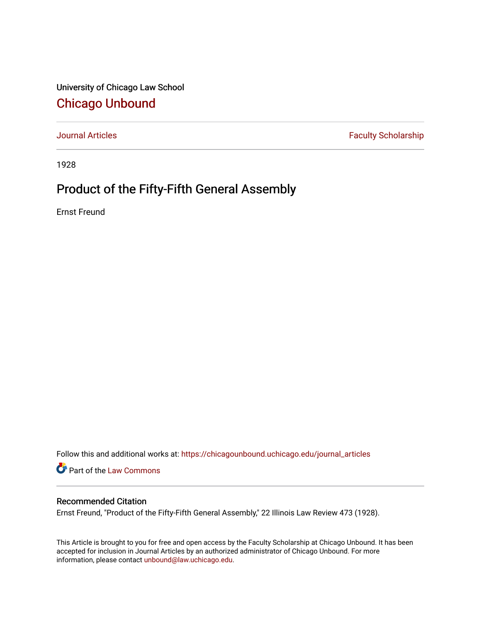University of Chicago Law School [Chicago Unbound](https://chicagounbound.uchicago.edu/)

[Journal Articles](https://chicagounbound.uchicago.edu/journal_articles) **Faculty Scholarship Faculty Scholarship** 

1928

## Product of the Fifty-Fifth General Assembly

Ernst Freund

Follow this and additional works at: [https://chicagounbound.uchicago.edu/journal\\_articles](https://chicagounbound.uchicago.edu/journal_articles?utm_source=chicagounbound.uchicago.edu%2Fjournal_articles%2F7822&utm_medium=PDF&utm_campaign=PDFCoverPages) 

Part of the [Law Commons](http://network.bepress.com/hgg/discipline/578?utm_source=chicagounbound.uchicago.edu%2Fjournal_articles%2F7822&utm_medium=PDF&utm_campaign=PDFCoverPages)

### Recommended Citation

Ernst Freund, "Product of the Fifty-Fifth General Assembly," 22 Illinois Law Review 473 (1928).

This Article is brought to you for free and open access by the Faculty Scholarship at Chicago Unbound. It has been accepted for inclusion in Journal Articles by an authorized administrator of Chicago Unbound. For more information, please contact [unbound@law.uchicago.edu](mailto:unbound@law.uchicago.edu).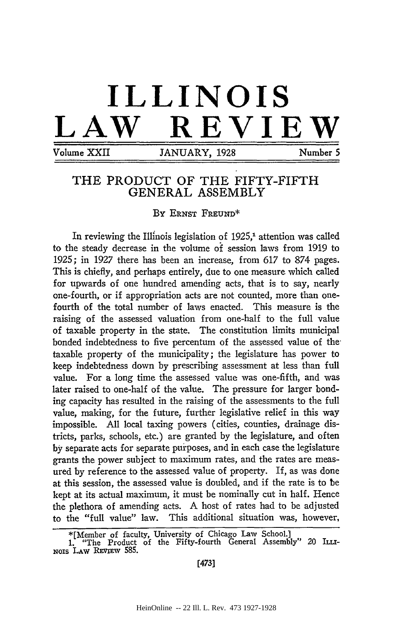# **ILLINOIS LAW REVIEW**

Volume XXII JANUARY, 1928 Number 5

### THE PRODUCT OF THE FIFTY-FIFTH **GENERAL** ASSEMBLY

**By ERNST FREUND\***

In reviewing the Illinois legislation of  $1925<sup>1</sup>$  attention was called to the steady decrease in the volume **of** session laws from 1919 to **1925;** in **1927** there has been an increase, from **617** to **874** pages. This is chiefly, and perhaps entirely, due to one measure which called for upwards of one hundred amending acts, that is to say, nearly one-fourth, or if appropriation acts are not counted, more than onefourth of the total number of laws enacted. This measure is the raising of the assessed valuation from one-half to the full value of taxable property in the state. The constitution limits municipal bonded indebtedness to five percentum of the assessed value of thetaxable property of the municipality; the legislature has power to keep indebtedness down **by** prescribing assessment at less than full value. For a long time the assessed value was one-fifth, and was later raised to one-half of the value. The pressure for larger bonding capacity has resulted in the raising of the assessments to the full value, making, for the future, further legislative relief in this way impossible. **All** local taxing powers (cities, counties, drainage districts, parks, schools, etc.) are granted by the legislature, and often **by** separate acts for separate purposes, and in each case the legislature grants the power subject to maximum rates, and the rates are measured by reference to the assessed value of property. If, as was done at this session, the assessed value is doubled, and if the rate is to be kept at its actual maximum, it must be nominally cut in half. Hence the plethora of amending acts. **A** host of rates had to be adjusted to the "full value" law. This additional situation was, however,

<sup>\*[</sup>Member of faculty, University of Chicago Law School.]

**<sup>1.</sup>** "The Product of the Fifty-fourth General Assembly" 20 **ILLi-**NOIS **LAW REvimv 585.**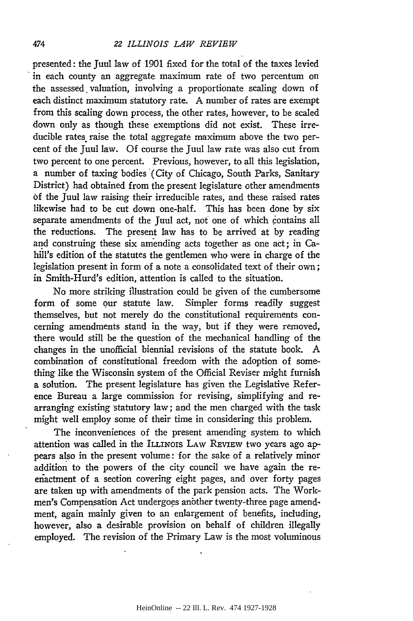#### *22 ILLINOIS LAW REVIEW*

presented: the Juul law of 1901 fixed for the total of the taxes levied in each county an aggregate maximum rate of two percentum on the assessed valuation, involving a proportionate scaling down of each distinct maximum statutory rate. A number of rates are exempt from this scaling down process, the other rates, however, to be scaled down only as though these exemptions did not exist. These irreducible rates raise the total aggregate maximum above the two percent of the Juul law. Of course the Juul law rate was also cut from two percent to one percent. Previous, however, to all this legislation, a number of taxing bodies (City of Chicago, South Parks, Sanitary District) had obtained from the present legislature other amendments of the Juul law raising their irreducible rates, and these raised rates likewise had to be cut down one-half. This has been done by six separate amendments of the Juul act, not one of which contains all the reductions. The present law has to be arrived at by reading and construing these six amending acts together as one act; in Cahill's edition of the statutes the gentlemen who were in charge of the legislation present in form of a note a consolidated text of their own; in Smith-Hurd's edition, attention is called to the situation.

No more striking illustration could be given of the cumbersome form of some our statute law. Simpler forms readily suggest themselves, but not merely do the constitutional requirements concerning amendments stand in the way, but if they were removed, there would still be the question of the mechanical handling of the changes in the unofficial biennial revisions of the statute book. A combination of constitutional freedom with the adoption of something like the Wisconsin system of the Official Reviser might furnish a solution. The present legislature has given the Legislative Reference Bureau a large commission for revising, simplifying and rearranging existing statutory law; and the men charged with the task might well employ some of their time in considering this problem.

The inconveniences of the present amending system to which attention was called in the ILLINOIS LAw REVIEW two years ago appears also in the present volume: for the sake of a relatively minor addition to the powers of the city council we have again the reenactment of a section covering eight pages, and over forty pages are taken up with amendments of the park pension acts. The Workmen's Compensation Act undergoes anbther twenty-three page amendment, again mainly given to an enlargement of benefits, including, however, also a desirable provision on behalf of children illegally employed. The revision of the Primary Law is the most voluminous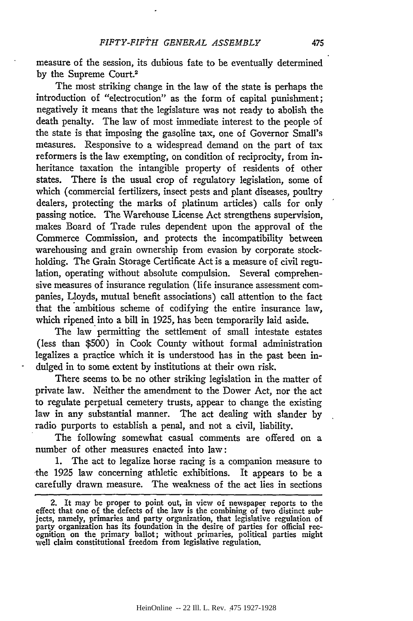measure of the session, its dubious fate to be eventually determined by the Supreme Court.2

The most striking change in the law of the state is perhaps the introduction of "electrocution" as the form of capital punishment; negatively it means that the legislature was not ready to abolish the death penalty. The law of most immediate interest to the people **3f** the state is that imposing the gasoline tax, one of Governor Small's measures. Responsive to a widespread demand on the part of tax reformers is the law exempting, on condition of reciprocity, from inheritance taxation the intangible property of residents of other states. There is the usual crop of regulatory legislation, some of which (commercial fertilizers, insect pests and plant diseases, poultry dealers, protecting the marks of platinum articles) calls for only passing notice. The Warehouse License Act strengthens supervision, makes Board of Trade rules dependent upon the approval of the Commerce Commission, and protects the incompatibility between warehousing and grain ownership from evasion by corporate stockholding. The Grain Storage Certificate Act is a measure of civil regulation, operating without absolute compulsion. Several comprehensive measures of insurance regulation (life insurance assessment companies, Lloyds, mutual benefit associations) call attention to the fact that the ambitious scheme of codifying the entire insurance law, which ripened into a bill in 1925, has been temporarily laid aside.

The law permitting the settlement of small intestate estates (less than \$500) in Cook County without formal administration legalizes a practice which it is understood has in the past been indulged in to some extent by institutions at their own risk.

There seems to be no other striking legislation in the matter of private law. Neither the amendment to the Dower Act, nor the act to regulate perpetual cemetery trusts, appear to change the existing law in any substantial manner. The act dealing with slander by radio purports to establish a penal, and not a civil, liability.

The following somewhat casual comments are offered on a number of other measures enacted into law:

1. The act to legalize horse racing is a companion measure to the 1925 law concerning athletic exhibitions. It appears to be a carefully drawn measure. The weakness of the act lies in sections

<sup>2.</sup> It may be proper to point out, in view of newspaper reports to the effect that one of the defects of the law is the combining of two distinct subjects, namely, primaries and party organization, that legislative regulation of party organization has its foundation in the desire of parties for official rec- ognition on the primary ballot; without primaries, political parties might well claim constitutional freedom from legislative regulation.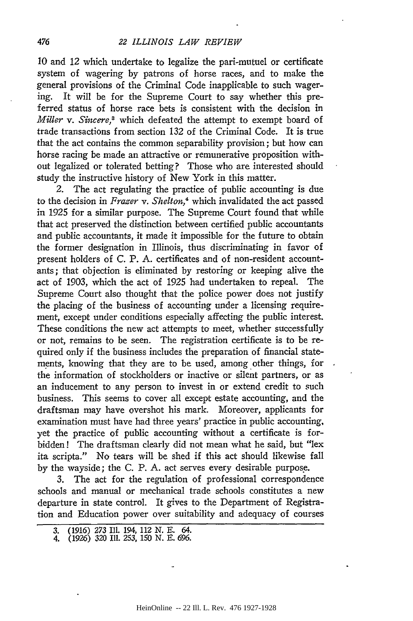10 and 12 which undertake to legalize the pari-mutuel or certificate system of wagering by patrons of horse races, and to make the general provisions of the Criminal Code inapplicable to such wagering. It will be for the Supreme Court to say whether this preferred status of horse race bets is consistent with the decision in *Miller v. Sincere,3* which defeated the attempt to exempt board of trade transactions from section 132 of the Criminal Code. It is true that the act contains the common separability provision; but how can horse racing be made an attractive or remunerative proposition without legalized or tolerated betting? Those who are interested should study the instructive history of New York in this matter.

2. The act regulating the practice of public accounting is due to the decision in *Frazer v. Shelton,4* which invalidated the act passed in 1925 for a similar purpose. The Supreme Court found that while that act preserved the distinction between certified public accountants and public accountants, it made it impossible for the future to obtain the former designation in Illinois, thus discriminating in favor of present holders of C. P. A. certificates and of non-resident accountants; that objection is eliminated by restoring or keeping alive the act of 1903, which the act of 1925 had undertaken to repeal. The Supreme Court also thought that the police power does not justify the placing of the business of accounting under a licensing requirement, except under conditions especially affecting the public interest. These conditions the new act attempts to meet, whether successfully or not, remains to be seen. The registration certificate is to be required only if the business includes the preparation of financial statements, knowing that they are to be used, among other things, for the information of stockholders or inactive or silent partners, or as an inducement to any person to invest in or extend credit to such business. This seems to cover all except estate accounting, and the draftsman may have overshot his mark. Moreover, applicants for examination must have had three years' practice in public accounting, yet the practice of public accounting without a certificate is forbidden! The draftsman clearly did not mean what he said, but "lex ita scripta." No tears will be shed if this act should likewise fall by the wayside; the C. P. A. act serves every desirable purpose.

3. The act for the regulation of professional correspondence schools and manual or mechanical trade schools constitutes a new departure in state control. It gives to the Department of Registration and Education power over suitability and adequacy of courses

<sup>3. (1916)</sup> *273* Ill. 194, 112 N. E. 64. 4. (1926) 320 Ill. 253, 150 **N. E.** *696.*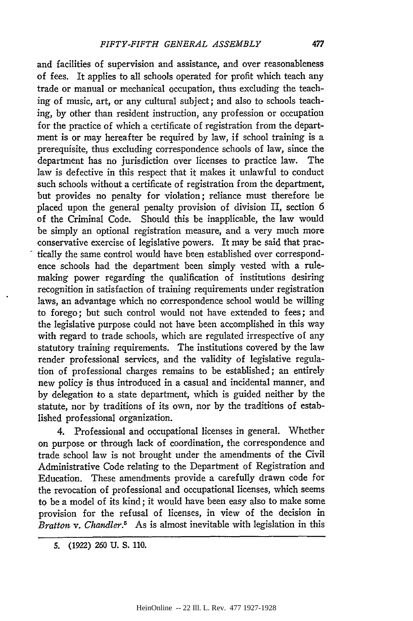and facilities of supervision and assistance, and over reasonableness of fees. It applies to all schools operated for profit which teach any trade or manual or mechanical occupation, thus excluding the teaching of music, art, or any cultural subject; and also to schools teaching, by other than resident instruction, any profession or occupation for the practice of which a certificate of registration from the department is or may hereafter be required by law, if school training is a prerequisite, thus excluding correspondence schools of law, since the department has no jurisdiction over licenses to practice law. The law is defective in this respect that it makes it unlawful to conduct such schools without a certificate of registration from the department, but provides no penalty for violation; reliance must therefore be placed upon the general penalty provision of division II, section 6 of the Criminal Code. Should this be inapplicable, the law would be simply an optional registration measure, and a very much more conservative exercise of legislative powers. It may be said that practically the same control would have been established over correspondence schools had the department been simply vested with a rulemaking power regarding the qualification of institutions desiring recognition in satisfaction of training requirements under registration laws, an advantage which no correspondence school would be willing to forego; but such control would not have extended to fees; and the legislative purpose could not have been accomplished in this way with regard to trade schools, which are regulated irrespective of any statutory training requirements. The institutions covered by the law render professional services, and the validity of legislative regulation of professional charges remains to be established; an entirely new policy is thus introduced in a casual and incidental manner, and by delegation to a state department, which is guided neither by the statute, nor by traditions of its own, nor by the traditions of established professional organization.

4. Professional and occupational licenses in general. Whether on purpose or through lack of coordination, the correspondence and trade school law is not brought under the amendments of the Civil Administrative Code relating to the Department of Registration and Education. These amendments provide a carefully drawn code for the revocation of professional and occupational licenses, which seems to be a model of its kind; it would have been easy also to make some provision for the refusal of licenses, in view of the decision in *Bratton v. Chandler.5* As is almost inevitable with legislation in this

**<sup>5. (1922) 260</sup> U. S.** *110.*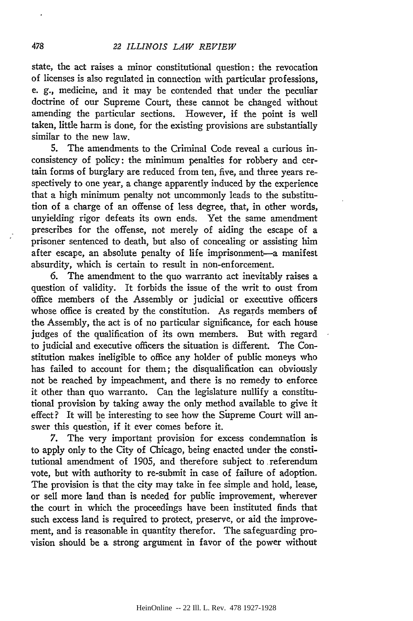state, the act raises a minor constitutional question: the revocation of licenses is also regulated in connection with particular professions, e. **g.,** medicine, and it may be contended that under the peculiar doctrine of our Supreme Court, these cannot be changed without amending the particular sections. However, if the point is well taken, little harm is done, for the existing provisions are substantially similar to the new law.

5. The amendments to the Criminal Code reveal a curious inconsistency of policy: the minimum penalties for robbery and certain forms of burglary are reduced from ten, five, and three years respectively to one year, a change apparently induced by the experience that a high minimum penalty not uncommonly leads to the substitution of a charge of an offense of less degree, that, in other words, unyielding rigor defeats its own ends. Yet the same amendment prescribes for the offense, not merely of aiding the escape of a prisoner sentenced to death, but also of concealing or assisting him after escape, an absolute penalty of life imprisonment-a manifest absurdity, which is certain to result in non-enforcement.

6. The amendment to the quo warranto act inevitably raises a question of validity. It forbids the issue of the writ to oust from office members of the Assembly or judicial or executive officers whose office is created by the constitution. As regards members of the Assembly, the act is of no particular significance, for each house judges of the qualification of its own members. But with regard to judicial and executive officers the situation is different. The Constitution makes ineligible to office any holder of public moneys who has failed to account for them; the disqualification can obviously not be reached by impeachment, and there is no remedy to enforce it other than quo warranto. Can the legislature nullify a constitutional provision by taking away the only method available to give it effect? It will be interesting to see how the Supreme Court will answer this question, if it ever comes before it.

7. The very important provision for excess condemnation is to apply only to the City of Chicago, being enacted under the constitutional amendment of 1905, and therefore subject to referendum vote, but with authority to re-submit in case of failure of adoption. The provision is that the city may take in fee simple and hold, lease, or sell more land than is needed for public improvement, wherever the court in which the proceedings have been instituted finds that such excess land is required to protect, preserve, or aid the improvement, and is reasonable in quantity therefor. The safeguarding provision should be a strong argument in favor of the power without